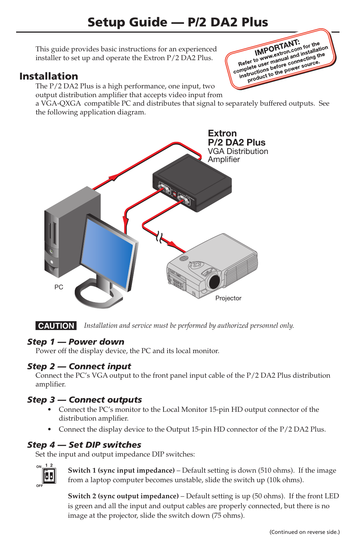This guide provides basic instructions for an experienced installer to set up and operate the Extron P/2 DA2 Plus.

# Installation

The P/2 DA2 Plus is a high performance, one input, two output distribution amplifier that accepts video input from

a VGA-QXGA compatible PC and distributes that signal to separately buffered outputs. See the following application diagram.

**IMPORTANT:**<br> **Refer to www.skton.com** installation<br>
Refer to www.skton.com installation<br>
amplete users before comer source. **IMPORTANT: IMPORTANT:** for the ion<br>
Refer to www.extron.com installand the<br>
Refer to user manual and installand the<br>
complete user manual and source. IMPOLATIon community<br>Refer to www.wextron.community.net<br>amplete user manual and community.org<br>instructions before power source. fer to www.winanual annecting to<br>plete user before connecting to<br>structions before cower source.<br>product to the power source.



**CAUTION** Installation and service must be performed by authorized personnel only.

## *Step 1 — Power down*

Power off the display device, the PC and its local monitor.

## *Step 2 — Connect input*

Connect the PC's VGA output to the front panel input cable of the P/2 DA2 Plus distribution amplifier.

## *Step 3 — Connect outputs*

- **•**  Connect the PC's monitor to the Local Monitor 15-pin HD output connector of the distribution amplifier.
- Connect the display device to the Output 15-pin HD connector of the P/2 DA2 Plus.

## *Step 4 — Set DIP switches*

Set the input and output impedance DIP switches:



**Switch 1 (sync input impedance)** – Default setting is down (510 ohms). If the image from a laptop computer becomes unstable, slide the switch up (10k ohms).

**Switch 2 (sync output impedance)** – Default setting is up (50 ohms). If the front LED is green and all the input and output cables are properly connected, but there is no image at the projector, slide the switch down (75 ohms).